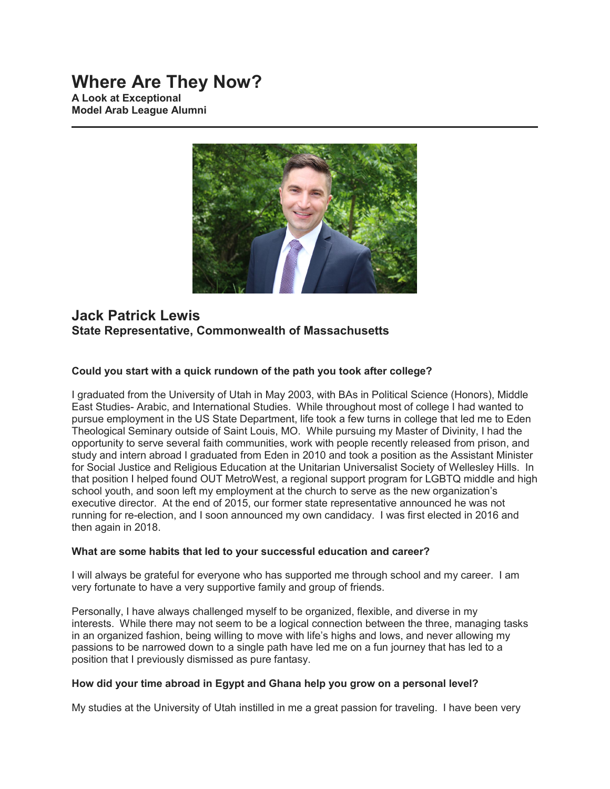# **Where Are They Now?**

**A Look at Exceptional Model Arab League Alumni**



# **Jack Patrick Lewis State Representative, Commonwealth of Massachusetts**

# **Could you start with a quick rundown of the path you took after college?**

I graduated from the University of Utah in May 2003, with BAs in Political Science (Honors), Middle East Studies- Arabic, and International Studies. While throughout most of college I had wanted to pursue employment in the US State Department, life took a few turns in college that led me to Eden Theological Seminary outside of Saint Louis, MO. While pursuing my Master of Divinity, I had the opportunity to serve several faith communities, work with people recently released from prison, and study and intern abroad I graduated from Eden in 2010 and took a position as the Assistant Minister for Social Justice and Religious Education at the Unitarian Universalist Society of Wellesley Hills. In that position I helped found OUT MetroWest, a regional support program for LGBTQ middle and high school youth, and soon left my employment at the church to serve as the new organization's executive director. At the end of 2015, our former state representative announced he was not running for re-election, and I soon announced my own candidacy. I was first elected in 2016 and then again in 2018.

# **What are some habits that led to your successful education and career?**

I will always be grateful for everyone who has supported me through school and my career. I am very fortunate to have a very supportive family and group of friends.

Personally, I have always challenged myself to be organized, flexible, and diverse in my interests. While there may not seem to be a logical connection between the three, managing tasks in an organized fashion, being willing to move with life's highs and lows, and never allowing my passions to be narrowed down to a single path have led me on a fun journey that has led to a position that I previously dismissed as pure fantasy.

# **How did your time abroad in Egypt and Ghana help you grow on a personal level?**

My studies at the University of Utah instilled in me a great passion for traveling. I have been very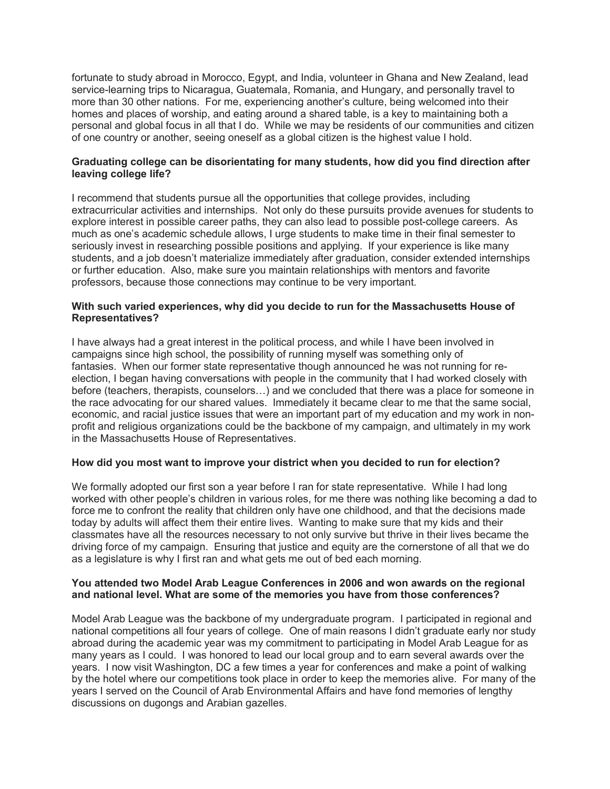fortunate to study abroad in Morocco, Egypt, and India, volunteer in Ghana and New Zealand, lead service-learning trips to Nicaragua, Guatemala, Romania, and Hungary, and personally travel to more than 30 other nations. For me, experiencing another's culture, being welcomed into their homes and places of worship, and eating around a shared table, is a key to maintaining both a personal and global focus in all that I do. While we may be residents of our communities and citizen of one country or another, seeing oneself as a global citizen is the highest value I hold.

# **Graduating college can be disorientating for many students, how did you find direction after leaving college life?**

I recommend that students pursue all the opportunities that college provides, including extracurricular activities and internships. Not only do these pursuits provide avenues for students to explore interest in possible career paths, they can also lead to possible post-college careers. As much as one's academic schedule allows, I urge students to make time in their final semester to seriously invest in researching possible positions and applying. If your experience is like many students, and a job doesn't materialize immediately after graduation, consider extended internships or further education. Also, make sure you maintain relationships with mentors and favorite professors, because those connections may continue to be very important.

# **With such varied experiences, why did you decide to run for the Massachusetts House of Representatives?**

I have always had a great interest in the political process, and while I have been involved in campaigns since high school, the possibility of running myself was something only of fantasies. When our former state representative though announced he was not running for reelection, I began having conversations with people in the community that I had worked closely with before (teachers, therapists, counselors…) and we concluded that there was a place for someone in the race advocating for our shared values. Immediately it became clear to me that the same social, economic, and racial justice issues that were an important part of my education and my work in nonprofit and religious organizations could be the backbone of my campaign, and ultimately in my work in the Massachusetts House of Representatives.

# **How did you most want to improve your district when you decided to run for election?**

We formally adopted our first son a year before I ran for state representative. While I had long worked with other people's children in various roles, for me there was nothing like becoming a dad to force me to confront the reality that children only have one childhood, and that the decisions made today by adults will affect them their entire lives. Wanting to make sure that my kids and their classmates have all the resources necessary to not only survive but thrive in their lives became the driving force of my campaign. Ensuring that justice and equity are the cornerstone of all that we do as a legislature is why I first ran and what gets me out of bed each morning.

#### **You attended two Model Arab League Conferences in 2006 and won awards on the regional and national level. What are some of the memories you have from those conferences?**

Model Arab League was the backbone of my undergraduate program. I participated in regional and national competitions all four years of college. One of main reasons I didn't graduate early nor study abroad during the academic year was my commitment to participating in Model Arab League for as many years as I could. I was honored to lead our local group and to earn several awards over the years. I now visit Washington, DC a few times a year for conferences and make a point of walking by the hotel where our competitions took place in order to keep the memories alive. For many of the years I served on the Council of Arab Environmental Affairs and have fond memories of lengthy discussions on dugongs and Arabian gazelles.